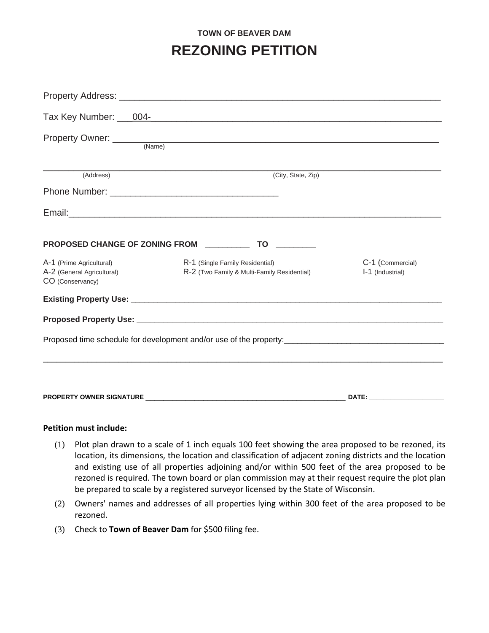## **TOWN OF BEAVER DAM REZONING PETITION**

|                                                                            | Property Owner: (Name)                                                         |                                      |
|----------------------------------------------------------------------------|--------------------------------------------------------------------------------|--------------------------------------|
| (Address)                                                                  | (City, State, Zip)                                                             |                                      |
|                                                                            |                                                                                |                                      |
|                                                                            |                                                                                |                                      |
|                                                                            | PROPOSED CHANGE OF ZONING FROM ________________ TO ___________                 |                                      |
| A-1 (Prime Agricultural)<br>A-2 (General Agricultural)<br>CO (Conservancy) | R-1 (Single Family Residential)<br>R-2 (Two Family & Multi-Family Residential) | C-1 (Commercial)<br>I-1 (Industrial) |
|                                                                            |                                                                                |                                      |
|                                                                            |                                                                                |                                      |
|                                                                            |                                                                                |                                      |
|                                                                            |                                                                                |                                      |
|                                                                            |                                                                                |                                      |

## **Petition must include:**

- (1) Plot plan drawn to a scale of 1 inch equals 100 feet showing the area proposed to be rezoned, its location, its dimensions, the location and classification of adjacent zoning districts and the location and existing use of all properties adjoining and/or within 500 feet of the area proposed to be rezoned is required. The town board or plan commission may at their request require the plot plan be prepared to scale by a registered surveyor licensed by the State of Wisconsin.
- (2) Owners' names and addresses of all properties lying within 300 feet of the area proposed to be rezoned.
- (3) Check to **Town of Beaver Dam** for \$500 filing fee.